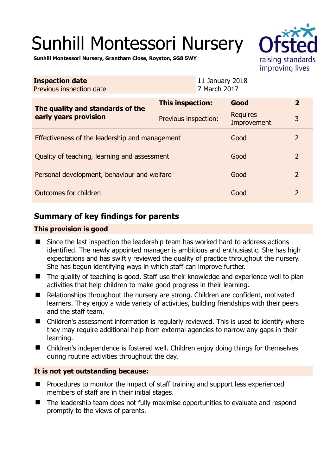# Sunhill Montessori Nursery



**Sunhill Montessori Nursery, Grantham Close, Royston, SG8 5WY** 

| <b>Inspection date</b><br>Previous inspection date        |                      | 11 January 2018<br>7 March 2017 |                                |                |
|-----------------------------------------------------------|----------------------|---------------------------------|--------------------------------|----------------|
| The quality and standards of the<br>early years provision | This inspection:     |                                 | Good                           | $\mathbf{2}$   |
|                                                           | Previous inspection: |                                 | <b>Requires</b><br>Improvement | 3              |
| Effectiveness of the leadership and management            |                      |                                 | Good                           | 2              |
| Quality of teaching, learning and assessment              |                      |                                 | Good                           | $\overline{2}$ |
| Personal development, behaviour and welfare               |                      |                                 | Good                           | 2              |
| Outcomes for children                                     |                      |                                 | Good                           | $\overline{2}$ |

# **Summary of key findings for parents**

#### **This provision is good**

- Since the last inspection the leadership team has worked hard to address actions identified. The newly appointed manager is ambitious and enthusiastic. She has high expectations and has swiftly reviewed the quality of practice throughout the nursery. She has begun identifying ways in which staff can improve further.
- The quality of teaching is good. Staff use their knowledge and experience well to plan activities that help children to make good progress in their learning.
- Relationships throughout the nursery are strong. Children are confident, motivated learners. They enjoy a wide variety of activities, building friendships with their peers and the staff team.
- Children's assessment information is regularly reviewed. This is used to identify where they may require additional help from external agencies to narrow any gaps in their learning.
- Children's independence is fostered well. Children enjoy doing things for themselves during routine activities throughout the day.

## **It is not yet outstanding because:**

- $\blacksquare$  Procedures to monitor the impact of staff training and support less experienced members of staff are in their initial stages.
- The leadership team does not fully maximise opportunities to evaluate and respond promptly to the views of parents.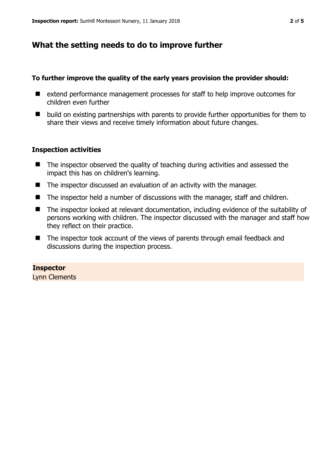## **What the setting needs to do to improve further**

#### **To further improve the quality of the early years provision the provider should:**

- extend performance management processes for staff to help improve outcomes for children even further
- $\blacksquare$  build on existing partnerships with parents to provide further opportunities for them to share their views and receive timely information about future changes.

#### **Inspection activities**

- The inspector observed the quality of teaching during activities and assessed the impact this has on children's learning.
- The inspector discussed an evaluation of an activity with the manager.
- The inspector held a number of discussions with the manager, staff and children.
- The inspector looked at relevant documentation, including evidence of the suitability of persons working with children. The inspector discussed with the manager and staff how they reflect on their practice.
- The inspector took account of the views of parents through email feedback and discussions during the inspection process.

## **Inspector**

Lynn Clements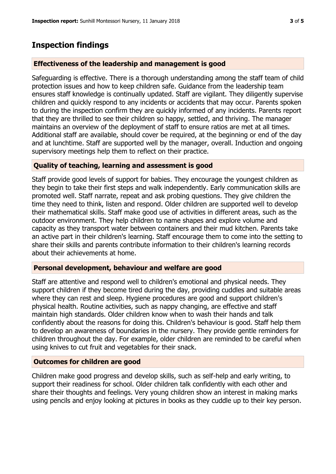# **Inspection findings**

#### **Effectiveness of the leadership and management is good**

Safeguarding is effective. There is a thorough understanding among the staff team of child protection issues and how to keep children safe. Guidance from the leadership team ensures staff knowledge is continually updated. Staff are vigilant. They diligently supervise children and quickly respond to any incidents or accidents that may occur. Parents spoken to during the inspection confirm they are quickly informed of any incidents. Parents report that they are thrilled to see their children so happy, settled, and thriving. The manager maintains an overview of the deployment of staff to ensure ratios are met at all times. Additional staff are available, should cover be required, at the beginning or end of the day and at lunchtime. Staff are supported well by the manager, overall. Induction and ongoing supervisory meetings help them to reflect on their practice.

#### **Quality of teaching, learning and assessment is good**

Staff provide good levels of support for babies. They encourage the youngest children as they begin to take their first steps and walk independently. Early communication skills are promoted well. Staff narrate, repeat and ask probing questions. They give children the time they need to think, listen and respond. Older children are supported well to develop their mathematical skills. Staff make good use of activities in different areas, such as the outdoor environment. They help children to name shapes and explore volume and capacity as they transport water between containers and their mud kitchen. Parents take an active part in their children's learning. Staff encourage them to come into the setting to share their skills and parents contribute information to their children's learning records about their achievements at home.

## **Personal development, behaviour and welfare are good**

Staff are attentive and respond well to children's emotional and physical needs. They support children if they become tired during the day, providing cuddles and suitable areas where they can rest and sleep. Hygiene procedures are good and support children's physical health. Routine activities, such as nappy changing, are effective and staff maintain high standards. Older children know when to wash their hands and talk confidently about the reasons for doing this. Children's behaviour is good. Staff help them to develop an awareness of boundaries in the nursery. They provide gentle reminders for children throughout the day. For example, older children are reminded to be careful when using knives to cut fruit and vegetables for their snack.

## **Outcomes for children are good**

Children make good progress and develop skills, such as self-help and early writing, to support their readiness for school. Older children talk confidently with each other and share their thoughts and feelings. Very young children show an interest in making marks using pencils and enjoy looking at pictures in books as they cuddle up to their key person.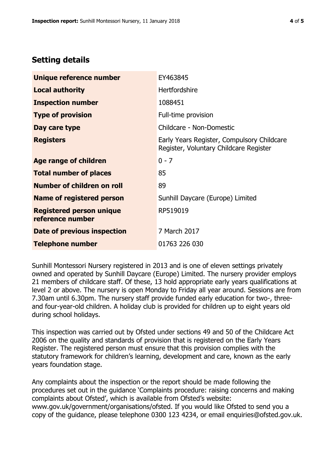# **Setting details**

| Unique reference number                             | EY463845                                                                             |  |
|-----------------------------------------------------|--------------------------------------------------------------------------------------|--|
| <b>Local authority</b>                              | <b>Hertfordshire</b>                                                                 |  |
| <b>Inspection number</b>                            | 1088451                                                                              |  |
| <b>Type of provision</b>                            | Full-time provision                                                                  |  |
| Day care type                                       | Childcare - Non-Domestic                                                             |  |
| <b>Registers</b>                                    | Early Years Register, Compulsory Childcare<br>Register, Voluntary Childcare Register |  |
| Age range of children                               | $0 - 7$                                                                              |  |
| <b>Total number of places</b>                       | 85                                                                                   |  |
| Number of children on roll                          | 89                                                                                   |  |
| Name of registered person                           | Sunhill Daycare (Europe) Limited                                                     |  |
| <b>Registered person unique</b><br>reference number | RP519019                                                                             |  |
| <b>Date of previous inspection</b>                  | 7 March 2017                                                                         |  |
| <b>Telephone number</b>                             | 01763 226 030                                                                        |  |

Sunhill Montessori Nursery registered in 2013 and is one of eleven settings privately owned and operated by Sunhill Daycare (Europe) Limited. The nursery provider employs 21 members of childcare staff. Of these, 13 hold appropriate early years qualifications at level 2 or above. The nursery is open Monday to Friday all year around. Sessions are from 7.30am until 6.30pm. The nursery staff provide funded early education for two-, threeand four-year-old children. A holiday club is provided for children up to eight years old during school holidays.

This inspection was carried out by Ofsted under sections 49 and 50 of the Childcare Act 2006 on the quality and standards of provision that is registered on the Early Years Register. The registered person must ensure that this provision complies with the statutory framework for children's learning, development and care, known as the early years foundation stage.

Any complaints about the inspection or the report should be made following the procedures set out in the guidance 'Complaints procedure: raising concerns and making complaints about Ofsted', which is available from Ofsted's website: www.gov.uk/government/organisations/ofsted. If you would like Ofsted to send you a copy of the guidance, please telephone 0300 123 4234, or email enquiries@ofsted.gov.uk.